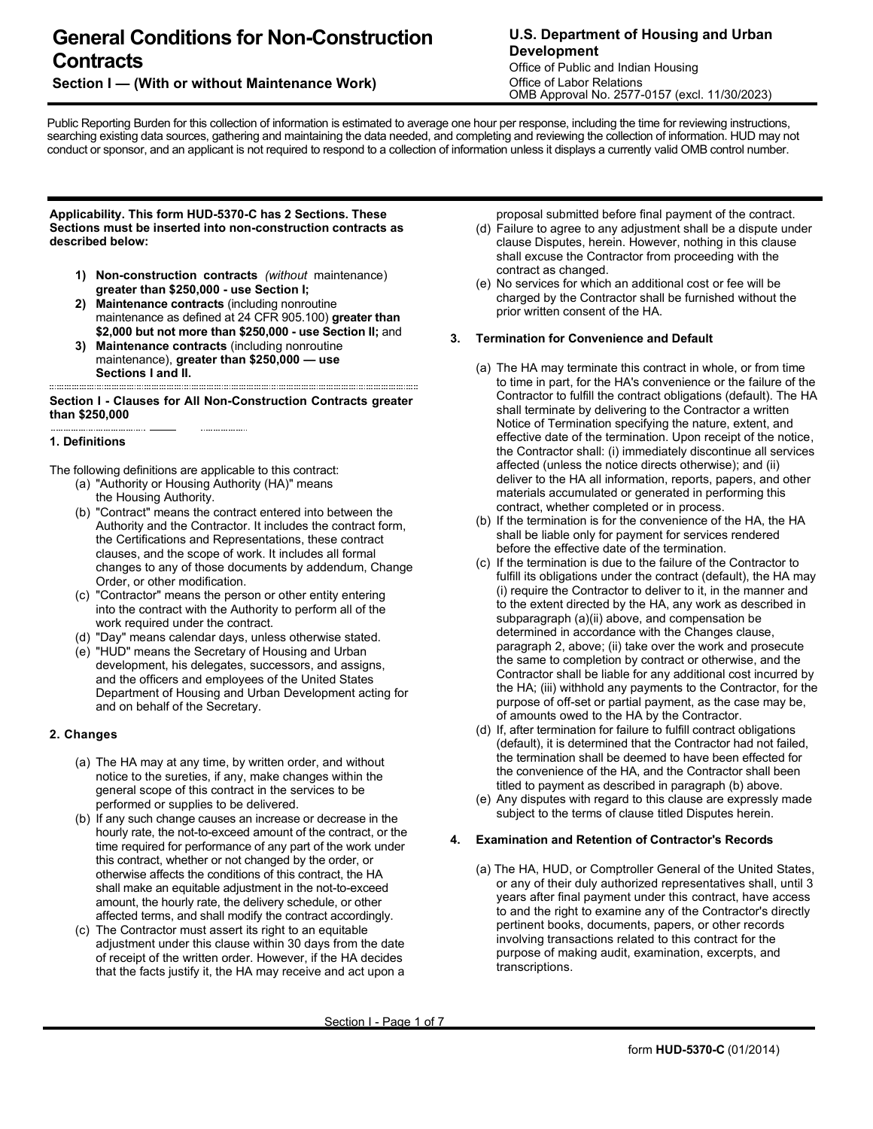# **General Conditions for Non-Construction Contracts**

# **Section I — (With or without Maintenance Work)**

# **U.S. Department of Housing and Urban Development**

Office of Public and Indian Housing Office of Labor Relations OMB Approval No. 2577-0157 (excl. 11/30/2023)

Public Reporting Burden for this collection of information is estimated to average one hour per response, including the time for reviewing instructions, searching existing data sources, gathering and maintaining the data needed, and completing and reviewing the collection of information. HUD may not conduct or sponsor, and an applicant is not required to respond to a collection of information unless it displays a currently valid OMB control number.

#### **Applicability. This form HUD-5370-C has 2 Sections. These Sections must be inserted into non-construction contracts as described below:**

- **1) Non-construction contracts** *(without* maintenance) **greater than \$250,000 - use Section I;**
- **2) Maintenance contracts** (including nonroutine maintenance as defined at 24 CFR 905.100) **greater than \$2,000 but not more than \$250,000 - use Section II;** and
- **3) Maintenance contracts** (including nonroutine maintenance), **greater than \$250,000 — use Sections I and II.**

#### **Section I - Clauses for All Non-Construction Contracts greater than \$250,000**

#### **1. Definitions**

The following definitions are applicable to this contract:

- (a) "Authority or Housing Authority (HA)" means the Housing Authority.
- (b) "Contract" means the contract entered into between the Authority and the Contractor. It includes the contract form, the Certifications and Representations, these contract clauses, and the scope of work. It includes all formal changes to any of those documents by addendum, Change Order, or other modification.
- (c) "Contractor" means the person or other entity entering into the contract with the Authority to perform all of the work required under the contract.
- (d) "Day" means calendar days, unless otherwise stated.
- (e) "HUD" means the Secretary of Housing and Urban development, his delegates, successors, and assigns, and the officers and employees of the United States Department of Housing and Urban Development acting for and on behalf of the Secretary.

# **2. Changes**

- (a) The HA may at any time, by written order, and without notice to the sureties, if any, make changes within the general scope of this contract in the services to be performed or supplies to be delivered.
- (b) If any such change causes an increase or decrease in the hourly rate, the not-to-exceed amount of the contract, or the time required for performance of any part of the work under this contract, whether or not changed by the order, or otherwise affects the conditions of this contract, the HA shall make an equitable adjustment in the not-to-exceed amount, the hourly rate, the delivery schedule, or other affected terms, and shall modify the contract accordingly.
- (c) The Contractor must assert its right to an equitable adjustment under this clause within 30 days from the date of receipt of the written order. However, if the HA decides that the facts justify it, the HA may receive and act upon a

proposal submitted before final payment of the contract.

- (d) Failure to agree to any adjustment shall be a dispute under clause Disputes, herein. However, nothing in this clause shall excuse the Contractor from proceeding with the contract as changed.
- (e) No services for which an additional cost or fee will be charged by the Contractor shall be furnished without the prior written consent of the HA.

#### **3. Termination for Convenience and Default**

- (a) The HA may terminate this contract in whole, or from time to time in part, for the HA's convenience or the failure of the Contractor to fulfill the contract obligations (default). The HA shall terminate by delivering to the Contractor a written Notice of Termination specifying the nature, extent, and effective date of the termination. Upon receipt of the notice, the Contractor shall: (i) immediately discontinue all services affected (unless the notice directs otherwise); and (ii) deliver to the HA all information, reports, papers, and other materials accumulated or generated in performing this contract, whether completed or in process.
- (b) If the termination is for the convenience of the HA, the HA shall be liable only for payment for services rendered before the effective date of the termination.
- (c) If the termination is due to the failure of the Contractor to fulfill its obligations under the contract (default), the HA may (i) require the Contractor to deliver to it, in the manner and to the extent directed by the HA, any work as described in subparagraph (a)(ii) above, and compensation be determined in accordance with the Changes clause, paragraph 2, above; (ii) take over the work and prosecute the same to completion by contract or otherwise, and the Contractor shall be liable for any additional cost incurred by the HA; (iii) withhold any payments to the Contractor, for the purpose of off-set or partial payment, as the case may be, of amounts owed to the HA by the Contractor.
- (d) If, after termination for failure to fulfill contract obligations (default), it is determined that the Contractor had not failed, the termination shall be deemed to have been effected for the convenience of the HA, and the Contractor shall been titled to payment as described in paragraph (b) above.
- (e) Any disputes with regard to this clause are expressly made subject to the terms of clause titled Disputes herein.

# **4. Examination and Retention of Contractor's Records**

(a) The HA, HUD, or Comptroller General of the United States, or any of their duly authorized representatives shall, until 3 years after final payment under this contract, have access to and the right to examine any of the Contractor's directly pertinent books, documents, papers, or other records involving transactions related to this contract for the purpose of making audit, examination, excerpts, and transcriptions.

Section I - Page 1 of 7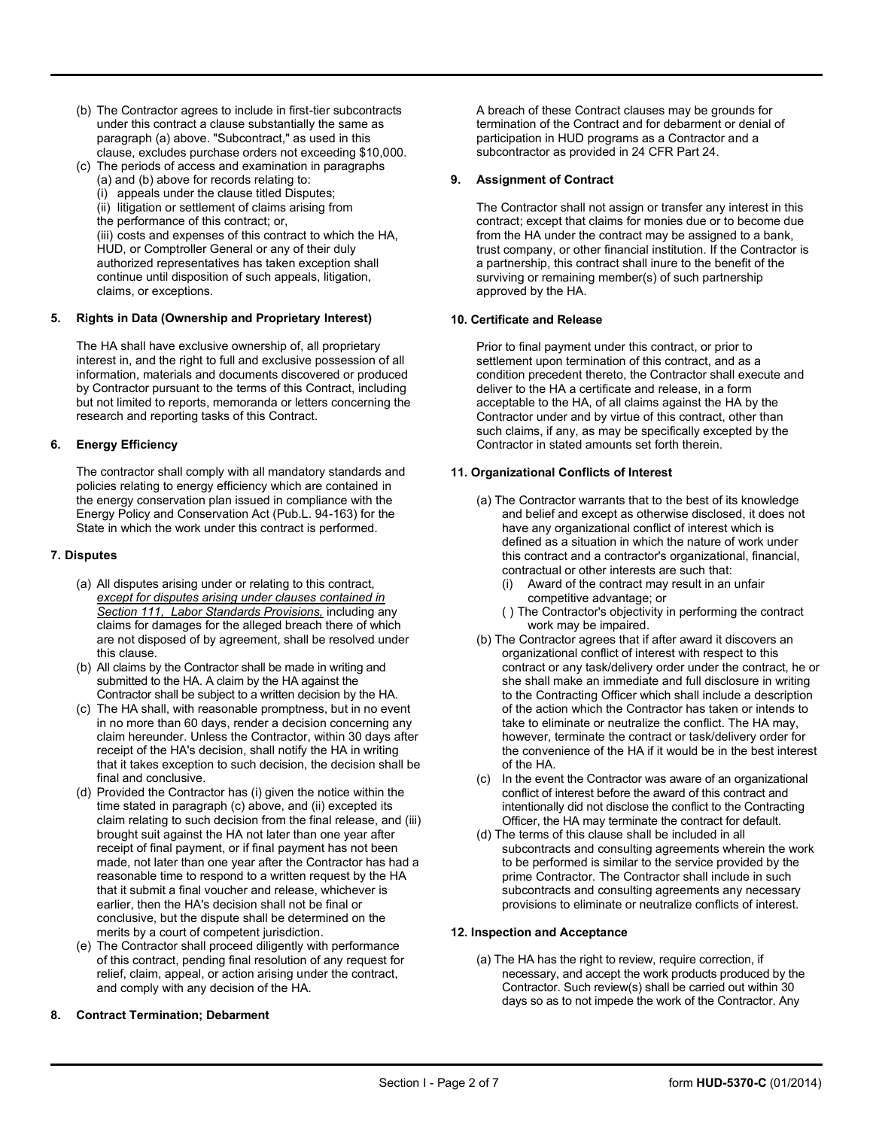- (b) The Contractor agrees to include in first-tier subcontracts under this contract a clause substantially the same as paragraph (a) above. "Subcontract," as used in this clause, excludes purchase orders not exceeding \$10,000.
- (c) The periods of access and examination in paragraphs (a) and (b) above for records relating to:
	- (i) appeals under the clause titled Disputes;
	- (ii) litigation or settlement of claims arising from
	- the performance of this contract; or,

(iii) costs and expenses of this contract to which the HA, HUD, or Comptroller General or any of their duly authorized representatives has taken exception shall continue until disposition of such appeals, litigation, claims, or exceptions.

# **5. Rights in Data (Ownership and Proprietary Interest)**

The HA shall have exclusive ownership of, all proprietary interest in, and the right to full and exclusive possession of all information, materials and documents discovered or produced by Contractor pursuant to the terms of this Contract, including but not limited to reports, memoranda or letters concerning the research and reporting tasks of this Contract.

# **6. Energy Efficiency**

The contractor shall comply with all mandatory standards and policies relating to energy efficiency which are contained in the energy conservation plan issued in compliance with the Energy Policy and Conservation Act (Pub.L. 94-163) for the State in which the work under this contract is performed.

# **7. Disputes**

- (a) All disputes arising under or relating to this contract, *except for disputes arising under clauses contained in Section 111, Labor Standards Provisions,* including any claims for damages for the alleged breach there of which are not disposed of by agreement, shall be resolved under this clause.
- (b) All claims by the Contractor shall be made in writing and submitted to the HA. A claim by the HA against the Contractor shall be subject to a written decision by the HA.
- (c) The HA shall, with reasonable promptness, but in no event in no more than 60 days, render a decision concerning any claim hereunder. Unless the Contractor, within 30 days after receipt of the HA's decision, shall notify the HA in writing that it takes exception to such decision, the decision shall be final and conclusive.
- (d) Provided the Contractor has (i) given the notice within the time stated in paragraph (c) above, and (ii) excepted its claim relating to such decision from the final release, and (iii) brought suit against the HA not later than one year after receipt of final payment, or if final payment has not been made, not later than one year after the Contractor has had a reasonable time to respond to a written request by the HA that it submit a final voucher and release, whichever is earlier, then the HA's decision shall not be final or conclusive, but the dispute shall be determined on the merits by a court of competent jurisdiction.
- (e) The Contractor shall proceed diligently with performance of this contract, pending final resolution of any request for relief, claim, appeal, or action arising under the contract, and comply with any decision of the HA.

#### **8. Contract Termination; Debarment**

A breach of these Contract clauses may be grounds for termination of the Contract and for debarment or denial of participation in HUD programs as a Contractor and a subcontractor as provided in 24 CFR Part 24.

### **9. Assignment of Contract**

The Contractor shall not assign or transfer any interest in this contract; except that claims for monies due or to become due from the HA under the contract may be assigned to a bank, trust company, or other financial institution. If the Contractor is a partnership, this contract shall inure to the benefit of the surviving or remaining member(s) of such partnership approved by the HA.

#### **10. Certificate and Release**

Prior to final payment under this contract, or prior to settlement upon termination of this contract, and as a condition precedent thereto, the Contractor shall execute and deliver to the HA a certificate and release, in a form acceptable to the HA, of all claims against the HA by the Contractor under and by virtue of this contract, other than such claims, if any, as may be specifically excepted by the Contractor in stated amounts set forth therein.

#### **11. Organizational Conflicts of Interest**

- (a) The Contractor warrants that to the best of its knowledge and belief and except as otherwise disclosed, it does not have any organizational conflict of interest which is defined as a situation in which the nature of work under this contract and a contractor's organizational, financial, contractual or other interests are such that:
	- (i) Award of the contract may result in an unfair competitive advantage; or
	- ( ) The Contractor's objectivity in performing the contract work may be impaired.
- (b) The Contractor agrees that if after award it discovers an organizational conflict of interest with respect to this contract or any task/delivery order under the contract, he or she shall make an immediate and full disclosure in writing to the Contracting Officer which shall include a description of the action which the Contractor has taken or intends to take to eliminate or neutralize the conflict. The HA may, however, terminate the contract or task/delivery order for the convenience of the HA if it would be in the best interest of the HA.
- (c) In the event the Contractor was aware of an organizational conflict of interest before the award of this contract and intentionally did not disclose the conflict to the Contracting Officer, the HA may terminate the contract for default.
- (d) The terms of this clause shall be included in all subcontracts and consulting agreements wherein the work to be performed is similar to the service provided by the prime Contractor. The Contractor shall include in such subcontracts and consulting agreements any necessary provisions to eliminate or neutralize conflicts of interest.

#### **12. Inspection and Acceptance**

(a) The HA has the right to review, require correction, if necessary, and accept the work products produced by the Contractor. Such review(s) shall be carried out within 30 days so as to not impede the work of the Contractor. Any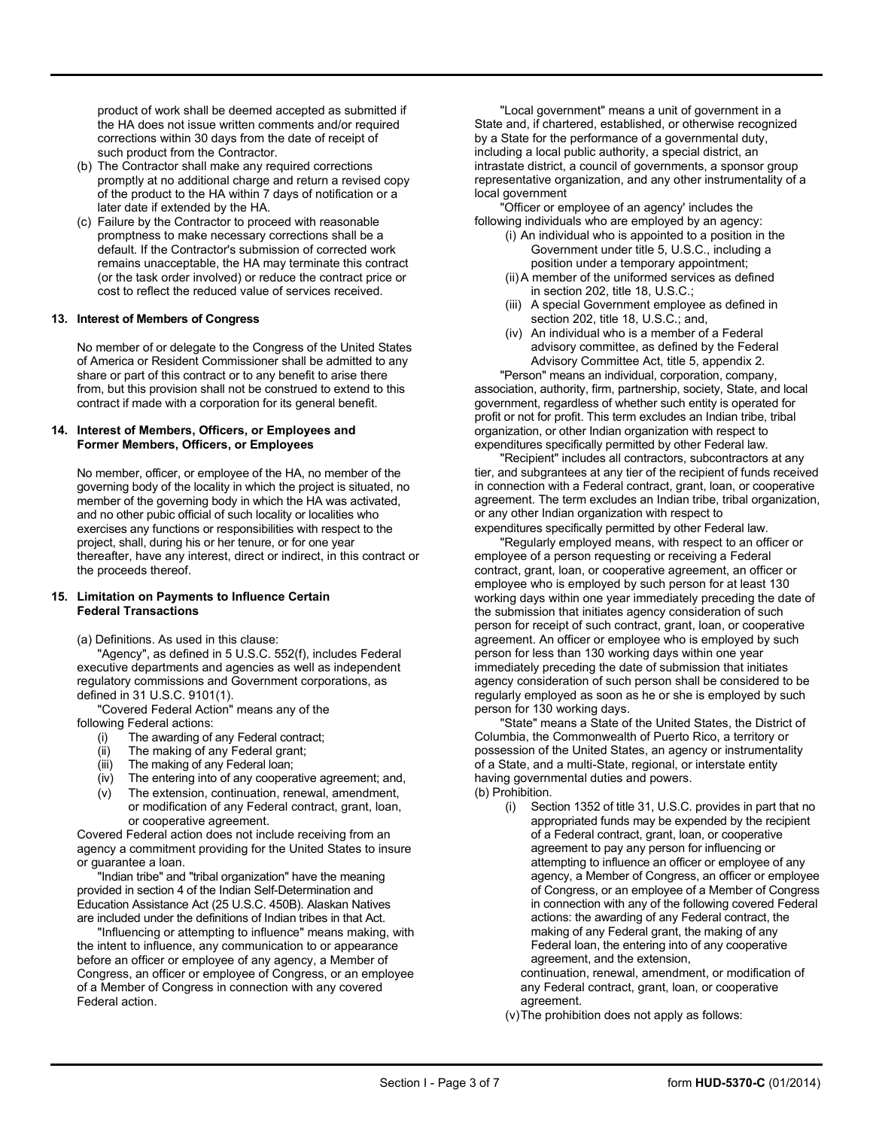product of work shall be deemed accepted as submitted if the HA does not issue written comments and/or required corrections within 30 days from the date of receipt of such product from the Contractor.

- (b) The Contractor shall make any required corrections promptly at no additional charge and return a revised copy of the product to the HA within 7 days of notification or a later date if extended by the HA.
- (c) Failure by the Contractor to proceed with reasonable promptness to make necessary corrections shall be a default. If the Contractor's submission of corrected work remains unacceptable, the HA may terminate this contract (or the task order involved) or reduce the contract price or cost to reflect the reduced value of services received.

#### **13. Interest of Members of Congress**

No member of or delegate to the Congress of the United States of America or Resident Commissioner shall be admitted to any share or part of this contract or to any benefit to arise there from, but this provision shall not be construed to extend to this contract if made with a corporation for its general benefit.

#### **14. Interest of Members, Officers, or Employees and Former Members, Officers, or Employees**

No member, officer, or employee of the HA, no member of the governing body of the locality in which the project is situated, no member of the governing body in which the HA was activated, and no other pubic official of such locality or localities who exercises any functions or responsibilities with respect to the project, shall, during his or her tenure, or for one year thereafter, have any interest, direct or indirect, in this contract or the proceeds thereof.

#### **15. Limitation on Payments to Influence Certain Federal Transactions**

(a) Definitions. As used in this clause:

'Agency", as defined in 5 U.S.C. 552(f), includes Federal executive departments and agencies as well as independent regulatory commissions and Government corporations, as defined in 31 U.S.C. 9101(1).

"Covered Federal Action" means any of the following Federal actions:

- (i) The awarding of any Federal contract;
- (ii) The making of any Federal grant;
- (iii) The making of any Federal loan;
- (iv) The entering into of any cooperative agreement; and,
- (v) The extension, continuation, renewal, amendment, or modification of any Federal contract, grant, loan, or cooperative agreement.

Covered Federal action does not include receiving from an agency a commitment providing for the United States to insure or guarantee a loan.

"Indian tribe" and "tribal organization" have the meaning provided in section 4 of the Indian Self-Determination and Education Assistance Act (25 U.S.C. 450B). Alaskan Natives are included under the definitions of Indian tribes in that Act.

"Influencing or attempting to influence" means making, with the intent to influence, any communication to or appearance before an officer or employee of any agency, a Member of Congress, an officer or employee of Congress, or an employee of a Member of Congress in connection with any covered Federal action.

"Local government" means a unit of government in a State and, if chartered, established, or otherwise recognized by a State for the performance of a governmental duty, including a local public authority, a special district, an intrastate district, a council of governments, a sponsor group representative organization, and any other instrumentality of a local government

"Officer or employee of an agency' includes the following individuals who are employed by an agency:

- (i) An individual who is appointed to a position in the Government under title 5, U.S.C., including a position under a temporary appointment;
- (ii)A member of the uniformed services as defined in section 202, title 18, U.S.C.;
- (iii) A special Government employee as defined in section 202, title 18, U.S.C.; and,
- (iv) An individual who is a member of a Federal advisory committee, as defined by the Federal Advisory Committee Act, title 5, appendix 2.

"Person" means an individual, corporation, company, association, authority, firm, partnership, society, State, and local government, regardless of whether such entity is operated for profit or not for profit. This term excludes an Indian tribe, tribal organization, or other Indian organization with respect to expenditures specifically permitted by other Federal law.

"Recipient" includes all contractors, subcontractors at any tier, and subgrantees at any tier of the recipient of funds received in connection with a Federal contract, grant, loan, or cooperative agreement. The term excludes an Indian tribe, tribal organization, or any other Indian organization with respect to expenditures specifically permitted by other Federal law.

"Regularly employed means, with respect to an officer or employee of a person requesting or receiving a Federal contract, grant, loan, or cooperative agreement, an officer or employee who is employed by such person for at least 130 working days within one year immediately preceding the date of the submission that initiates agency consideration of such person for receipt of such contract, grant, loan, or cooperative agreement. An officer or employee who is employed by such person for less than 130 working days within one year immediately preceding the date of submission that initiates agency consideration of such person shall be considered to be regularly employed as soon as he or she is employed by such person for 130 working days.

"State" means a State of the United States, the District of Columbia, the Commonwealth of Puerto Rico, a territory or possession of the United States, an agency or instrumentality of a State, and a multi-State, regional, or interstate entity having governmental duties and powers. (b) Prohibition.

(i) Section 1352 of title 31, U.S.C. provides in part that no

appropriated funds may be expended by the recipient of a Federal contract, grant, loan, or cooperative agreement to pay any person for influencing or attempting to influence an officer or employee of any agency, a Member of Congress, an officer or employee of Congress, or an employee of a Member of Congress in connection with any of the following covered Federal actions: the awarding of any Federal contract, the making of any Federal grant, the making of any Federal loan, the entering into of any cooperative agreement, and the extension,

continuation, renewal, amendment, or modification of any Federal contract, grant, loan, or cooperative agreement.

(v)The prohibition does not apply as follows: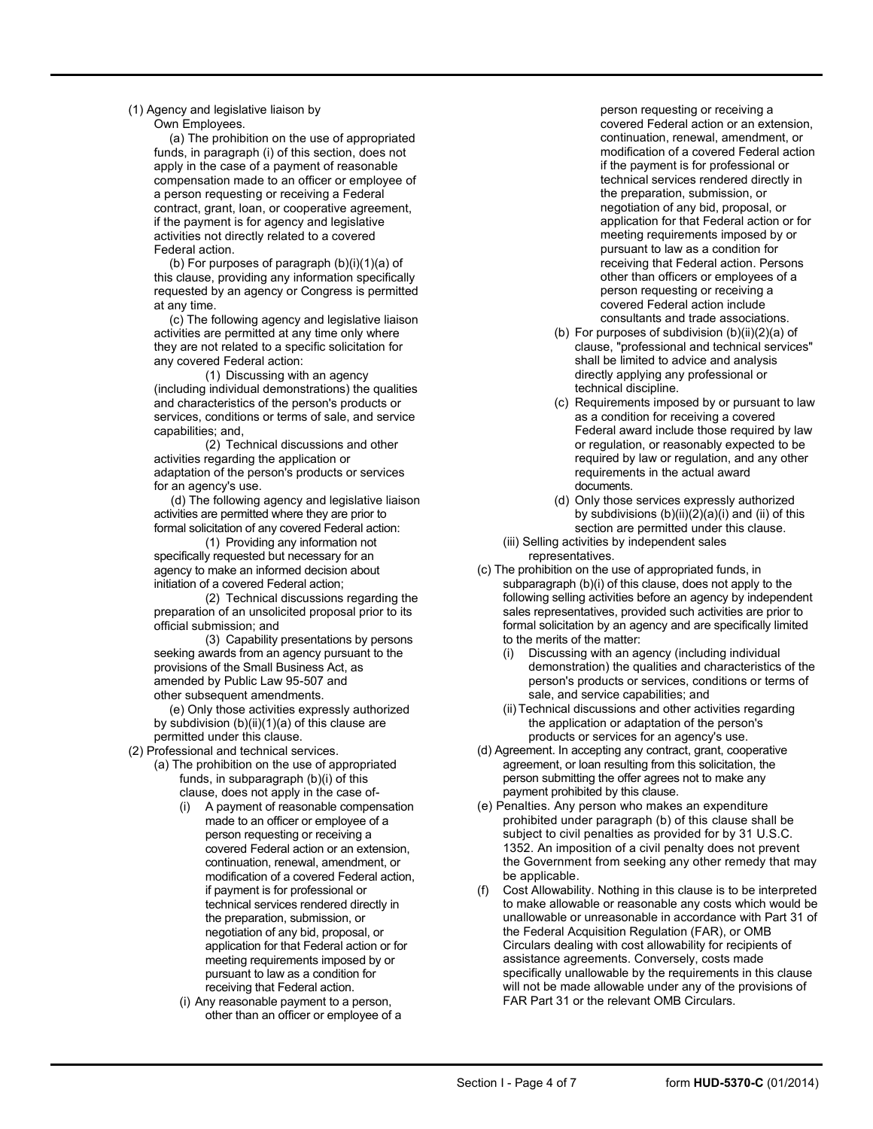(1) Agency and legislative liaison by Own Employees.

> (a) The prohibition on the use of appropriated funds, in paragraph (i) of this section, does not apply in the case of a payment of reasonable compensation made to an officer or employee of a person requesting or receiving a Federal contract, grant, loan, or cooperative agreement, if the payment is for agency and legislative activities not directly related to a covered Federal action.

> (b) For purposes of paragraph (b)(i)(1)(a) of this clause, providing any information specifically requested by an agency or Congress is permitted at any time.

(c) The following agency and legislative liaison activities are permitted at any time only where they are not related to a specific solicitation for any covered Federal action:

(1) Discussing with an agency (including individual demonstrations) the qualities and characteristics of the person's products or services, conditions or terms of sale, and service capabilities; and,

(2) Technical discussions and other activities regarding the application or adaptation of the person's products or services for an agency's use.

(d) The following agency and legislative liaison activities are permitted where they are prior to formal solicitation of any covered Federal action:

(1) Providing any information not specifically requested but necessary for an agency to make an informed decision about initiation of a covered Federal action;

(2) Technical discussions regarding the preparation of an unsolicited proposal prior to its official submission; and

(3) Capability presentations by persons seeking awards from an agency pursuant to the provisions of the Small Business Act, as amended by Public Law 95-507 and other subsequent amendments.

(e) Only those activities expressly authorized by subdivision (b)(ii)(1)(a) of this clause are permitted under this clause.

(2) Professional and technical services.

- (a) The prohibition on the use of appropriated funds, in subparagraph (b)(i) of this clause, does not apply in the case of-
	- (i) A payment of reasonable compensation made to an officer or employee of a person requesting or receiving a covered Federal action or an extension, continuation, renewal, amendment, or modification of a covered Federal action, if payment is for professional or technical services rendered directly in the preparation, submission, or negotiation of any bid, proposal, or application for that Federal action or for meeting requirements imposed by or pursuant to law as a condition for receiving that Federal action.
	- (i) Any reasonable payment to a person, other than an officer or employee of a

person requesting or receiving a covered Federal action or an extension, continuation, renewal, amendment, or modification of a covered Federal action if the payment is for professional or technical services rendered directly in the preparation, submission, or negotiation of any bid, proposal, or application for that Federal action or for meeting requirements imposed by or pursuant to law as a condition for receiving that Federal action. Persons other than officers or employees of a person requesting or receiving a covered Federal action include consultants and trade associations.

- (b) For purposes of subdivision  $(b)(ii)(2)(a)$  of clause, "professional and technical services" shall be limited to advice and analysis directly applying any professional or technical discipline.
- (c) Requirements imposed by or pursuant to law as a condition for receiving a covered Federal award include those required by law or regulation, or reasonably expected to be required by law or regulation, and any other requirements in the actual award documents.
- (d) Only those services expressly authorized by subdivisions (b)(ii)(2)(a)(i) and (ii) of this section are permitted under this clause.
- (iii) Selling activities by independent sales representatives.
- (c) The prohibition on the use of appropriated funds, in subparagraph (b)(i) of this clause, does not apply to the following selling activities before an agency by independent sales representatives, provided such activities are prior to formal solicitation by an agency and are specifically limited to the merits of the matter:
	- (i) Discussing with an agency (including individual demonstration) the qualities and characteristics of the person's products or services, conditions or terms of sale, and service capabilities; and
	- (ii)Technical discussions and other activities regarding the application or adaptation of the person's products or services for an agency's use.
- (d) Agreement. In accepting any contract, grant, cooperative agreement, or loan resulting from this solicitation, the person submitting the offer agrees not to make any payment prohibited by this clause.
- (e) Penalties. Any person who makes an expenditure prohibited under paragraph (b) of this clause shall be subject to civil penalties as provided for by 31 U.S.C. 1352. An imposition of a civil penalty does not prevent the Government from seeking any other remedy that may be applicable.
- (f) Cost Allowability. Nothing in this clause is to be interpreted to make allowable or reasonable any costs which would be unallowable or unreasonable in accordance with Part 31 of the Federal Acquisition Regulation (FAR), or OMB Circulars dealing with cost allowability for recipients of assistance agreements. Conversely, costs made specifically unallowable by the requirements in this clause will not be made allowable under any of the provisions of FAR Part 31 or the relevant OMB Circulars.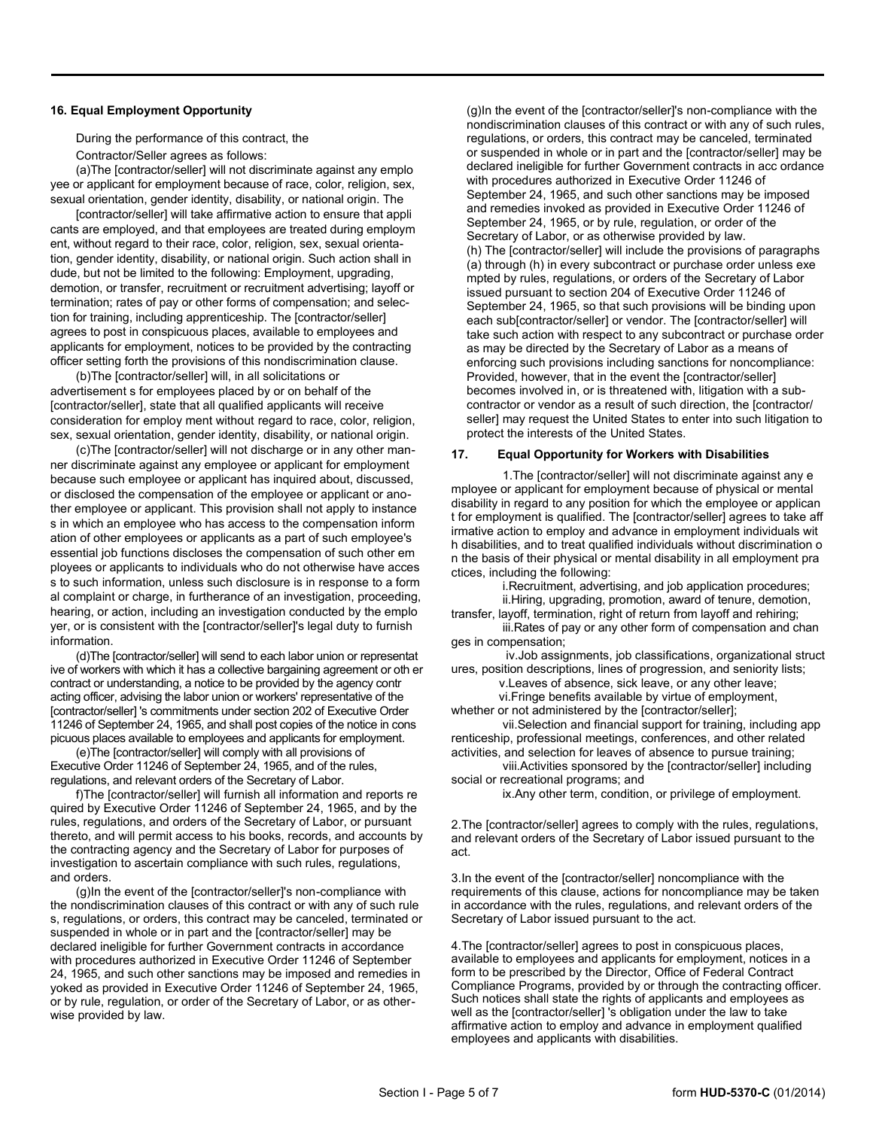#### **16. Equal Employment Opportunity**

During the performance of this contract, the

Contractor/Seller agrees as follows:

(a)The [contractor/seller] will not discriminate against any emplo yee or applicant for employment because of race, color, religion, sex, sexual orientation, gender identity, disability, or national origin. The

[contractor/seller] will take affirmative action to ensure that appli cants are employed, and that employees are treated during employm ent, without regard to their race, color, religion, sex, sexual orientation, gender identity, disability, or national origin. Such action shall in dude, but not be limited to the following: Employment, upgrading, demotion, or transfer, recruitment or recruitment advertising; layoff or termination; rates of pay or other forms of compensation; and selection for training, including apprenticeship. The [contractor/seller] agrees to post in conspicuous places, available to employees and applicants for employment, notices to be provided by the contracting officer setting forth the provisions of this nondiscrimination clause.

(b)The [contractor/seller] will, in all solicitations or advertisement s for employees placed by or on behalf of the [contractor/seller], state that all qualified applicants will receive consideration for employ ment without regard to race, color, religion, sex, sexual orientation, gender identity, disability, or national origin.

(c)The [contractor/seller] will not discharge or in any other manner discriminate against any employee or applicant for employment because such employee or applicant has inquired about, discussed, or disclosed the compensation of the employee or applicant or another employee or applicant. This provision shall not apply to instance s in which an employee who has access to the compensation inform ation of other employees or applicants as a part of such employee's essential job functions discloses the compensation of such other em ployees or applicants to individuals who do not otherwise have acces s to such information, unless such disclosure is in response to a form al complaint or charge, in furtherance of an investigation, proceeding, hearing, or action, including an investigation conducted by the emplo yer, or is consistent with the [contractor/seller]'s legal duty to furnish information.

(d)The [contractor/seller] will send to each labor union or representat ive of workers with which it has a collective bargaining agreement or oth er contract or understanding, a notice to be provided by the agency contr acting officer, advising the labor union or workers' representative of the [contractor/seller] 's commitments under section 202 of Executive Order 11246 of September 24, 1965, and shall post copies of the notice in cons picuous places available to employees and applicants for employment.

(e)The [contractor/seller] will comply with all provisions of Executive Order 11246 of September 24, 1965, and of the rules, regulations, and relevant orders of the Secretary of Labor.

f)The [contractor/seller] will furnish all information and reports re quired by Executive Order 11246 of September 24, 1965, and by the rules, regulations, and orders of the Secretary of Labor, or pursuant thereto, and will permit access to his books, records, and accounts by the contracting agency and the Secretary of Labor for purposes of investigation to ascertain compliance with such rules, regulations, and orders.

(g)In the event of the [contractor/seller]'s non-compliance with the nondiscrimination clauses of this contract or with any of such rule s, regulations, or orders, this contract may be canceled, terminated or suspended in whole or in part and the [contractor/seller] may be declared ineligible for further Government contracts in accordance with procedures authorized in Executive Order 11246 of September 24, 1965, and such other sanctions may be imposed and remedies in yoked as provided in Executive Order 11246 of September 24, 1965, or by rule, regulation, or order of the Secretary of Labor, or as otherwise provided by law.

(g)In the event of the [contractor/seller]'s non-compliance with the nondiscrimination clauses of this contract or with any of such rules, regulations, or orders, this contract may be canceled, terminated or suspended in whole or in part and the [contractor/seller] may be declared ineligible for further Government contracts in acc ordance with procedures authorized in Executive Order 11246 of September 24, 1965, and such other sanctions may be imposed and remedies invoked as provided in Executive Order 11246 of September 24, 1965, or by rule, regulation, or order of the Secretary of Labor, or as otherwise provided by law. (h) The [contractor/seller] will include the provisions of paragraphs (a) through (h) in every subcontract or purchase order unless exe mpted by rules, regulations, or orders of the Secretary of Labor issued pursuant to section 204 of Executive Order 11246 of September 24, 1965, so that such provisions will be binding upon each sub[contractor/seller] or vendor. The [contractor/seller] will take such action with respect to any subcontract or purchase order as may be directed by the Secretary of Labor as a means of enforcing such provisions including sanctions for noncompliance: Provided, however, that in the event the [contractor/seller] becomes involved in, or is threatened with, litigation with a subcontractor or vendor as a result of such direction, the [contractor/ seller] may request the United States to enter into such litigation to protect the interests of the United States.

#### **17. Equal Opportunity for Workers with Disabilities**

1.The [contractor/seller] will not discriminate against any e mployee or applicant for employment because of physical or mental disability in regard to any position for which the employee or applican t for employment is qualified. The [contractor/seller] agrees to take aff irmative action to employ and advance in employment individuals wit h disabilities, and to treat qualified individuals without discrimination o n the basis of their physical or mental disability in all employment pra ctices, including the following:

i.Recruitment, advertising, and job application procedures;

ii.Hiring, upgrading, promotion, award of tenure, demotion, transfer, layoff, termination, right of return from layoff and rehiring;

iii.Rates of pay or any other form of compensation and chan ges in compensation;

iv.Job assignments, job classifications, organizational struct ures, position descriptions, lines of progression, and seniority lists;

v.Leaves of absence, sick leave, or any other leave;

vi.Fringe benefits available by virtue of employment, whether or not administered by the [contractor/seller];

vii.Selection and financial support for training, including app renticeship, professional meetings, conferences, and other related activities, and selection for leaves of absence to pursue training;

viii.Activities sponsored by the [contractor/seller] including social or recreational programs; and

ix.Any other term, condition, or privilege of employment.

2.The [contractor/seller] agrees to comply with the rules, regulations, and relevant orders of the Secretary of Labor issued pursuant to the act.

3.In the event of the [contractor/seller] noncompliance with the requirements of this clause, actions for noncompliance may be taken in accordance with the rules, regulations, and relevant orders of the Secretary of Labor issued pursuant to the act.

4.The [contractor/seller] agrees to post in conspicuous places, available to employees and applicants for employment, notices in a form to be prescribed by the Director, Office of Federal Contract Compliance Programs, provided by or through the contracting officer. Such notices shall state the rights of applicants and employees as well as the [contractor/seller] 's obligation under the law to take affirmative action to employ and advance in employment qualified employees and applicants with disabilities.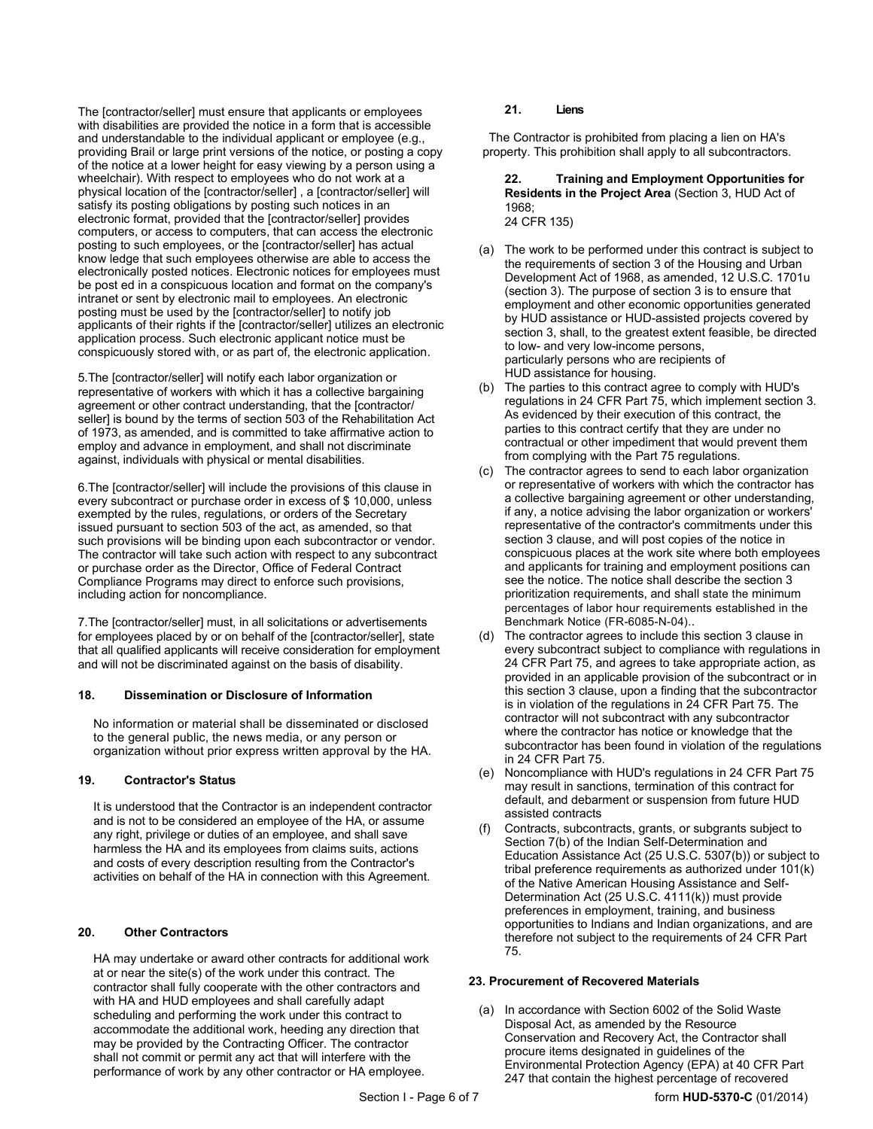The [contractor/seller] must ensure that applicants or employees with disabilities are provided the notice in a form that is accessible and understandable to the individual applicant or employee (e.g., providing Brail or large print versions of the notice, or posting a copy of the notice at a lower height for easy viewing by a person using a wheelchair). With respect to employees who do not work at a physical location of the [contractor/seller] , a [contractor/seller] will satisfy its posting obligations by posting such notices in an electronic format, provided that the [contractor/seller] provides computers, or access to computers, that can access the electronic posting to such employees, or the [contractor/seller] has actual know ledge that such employees otherwise are able to access the electronically posted notices. Electronic notices for employees must be post ed in a conspicuous location and format on the company's intranet or sent by electronic mail to employees. An electronic posting must be used by the [contractor/seller] to notify job applicants of their rights if the [contractor/seller] utilizes an electronic application process. Such electronic applicant notice must be conspicuously stored with, or as part of, the electronic application.

5.The [contractor/seller] will notify each labor organization or representative of workers with which it has a collective bargaining agreement or other contract understanding, that the [contractor/ seller] is bound by the terms of section 503 of the Rehabilitation Act of 1973, as amended, and is committed to take affirmative action to employ and advance in employment, and shall not discriminate against, individuals with physical or mental disabilities.

6.The [contractor/seller] will include the provisions of this clause in every subcontract or purchase order in excess of \$ 10,000, unless exempted by the rules, regulations, or orders of the Secretary issued pursuant to section 503 of the act, as amended, so that such provisions will be binding upon each subcontractor or vendor. The contractor will take such action with respect to any subcontract or purchase order as the Director, Office of Federal Contract Compliance Programs may direct to enforce such provisions, including action for noncompliance.

7.The [contractor/seller] must, in all solicitations or advertisements for employees placed by or on behalf of the [contractor/seller], state that all qualified applicants will receive consideration for employment and will not be discriminated against on the basis of disability.

#### **18. Dissemination or Disclosure of Information**

No information or material shall be disseminated or disclosed to the general public, the news media, or any person or organization without prior express written approval by the HA.

#### **19. Contractor's Status**

It is understood that the Contractor is an independent contractor and is not to be considered an employee of the HA, or assume any right, privilege or duties of an employee, and shall save harmless the HA and its employees from claims suits, actions and costs of every description resulting from the Contractor's activities on behalf of the HA in connection with this Agreement.

#### **20. Other Contractors**

HA may undertake or award other contracts for additional work at or near the site(s) of the work under this contract. The contractor shall fully cooperate with the other contractors and with HA and HUD employees and shall carefully adapt scheduling and performing the work under this contract to accommodate the additional work, heeding any direction that may be provided by the Contracting Officer. The contractor shall not commit or permit any act that will interfere with the performance of work by any other contractor or HA employee.

#### **21. Liens**

The Contractor is prohibited from placing a lien on HA's property. This prohibition shall apply to all subcontractors.

#### **22. Training and Employment Opportunities for Residents in the Project Area** (Section 3, HUD Act of 1968; 24 CFR 135)

- (a) The work to be performed under this contract is subject to the requirements of section 3 of the Housing and Urban Development Act of 1968, as amended, 12 U.S.C. 1701u (section 3). The purpose of section 3 is to ensure that employment and other economic opportunities generated by HUD assistance or HUD-assisted projects covered by section 3, shall, to the greatest extent feasible, be directed to low- and very low-income persons, particularly persons who are recipients of HUD assistance for housing.
- (b) The parties to this contract agree to comply with HUD's regulations in 24 CFR Part 75, which implement section 3. As evidenced by their execution of this contract, the parties to this contract certify that they are under no contractual or other impediment that would prevent them from complying with the Part 75 regulations.
- (c) The contractor agrees to send to each labor organization or representative of workers with which the contractor has a collective bargaining agreement or other understanding, if any, a notice advising the labor organization or workers' representative of the contractor's commitments under this section 3 clause, and will post copies of the notice in conspicuous places at the work site where both employees and applicants for training and employment positions can see the notice. The notice shall describe the section 3 prioritization requirements, and shall state the minimum percentages of labor hour requirements established in the Benchmark Notice (FR-6085-N-04)..
- (d) The contractor agrees to include this section 3 clause in every subcontract subject to compliance with regulations in 24 CFR Part 75, and agrees to take appropriate action, as provided in an applicable provision of the subcontract or in this section 3 clause, upon a finding that the subcontractor is in violation of the regulations in 24 CFR Part 75. The contractor will not subcontract with any subcontractor where the contractor has notice or knowledge that the subcontractor has been found in violation of the regulations in 24 CFR Part 75.
- (e) Noncompliance with HUD's regulations in 24 CFR Part 75 may result in sanctions, termination of this contract for default, and debarment or suspension from future HUD assisted contracts
- (f) Contracts, subcontracts, grants, or subgrants subject to Section 7(b) of the Indian Self-Determination and Education Assistance Act (25 U.S.C. 5307(b)) or subject to tribal preference requirements as authorized under 101(k) of the Native American Housing Assistance and Self-Determination Act (25 U.S.C. 4111(k)) must provide preferences in employment, training, and business opportunities to Indians and Indian organizations, and are therefore not subject to the requirements of 24 CFR Part 75.

#### **23. Procurement of Recovered Materials**

(a) In accordance with Section 6002 of the Solid Waste Disposal Act, as amended by the Resource Conservation and Recovery Act, the Contractor shall procure items designated in guidelines of the Environmental Protection Agency (EPA) at 40 CFR Part 247 that contain the highest percentage of recovered

Section I - Page 6 of 7 **form HUD-5370-C** (01/2014)